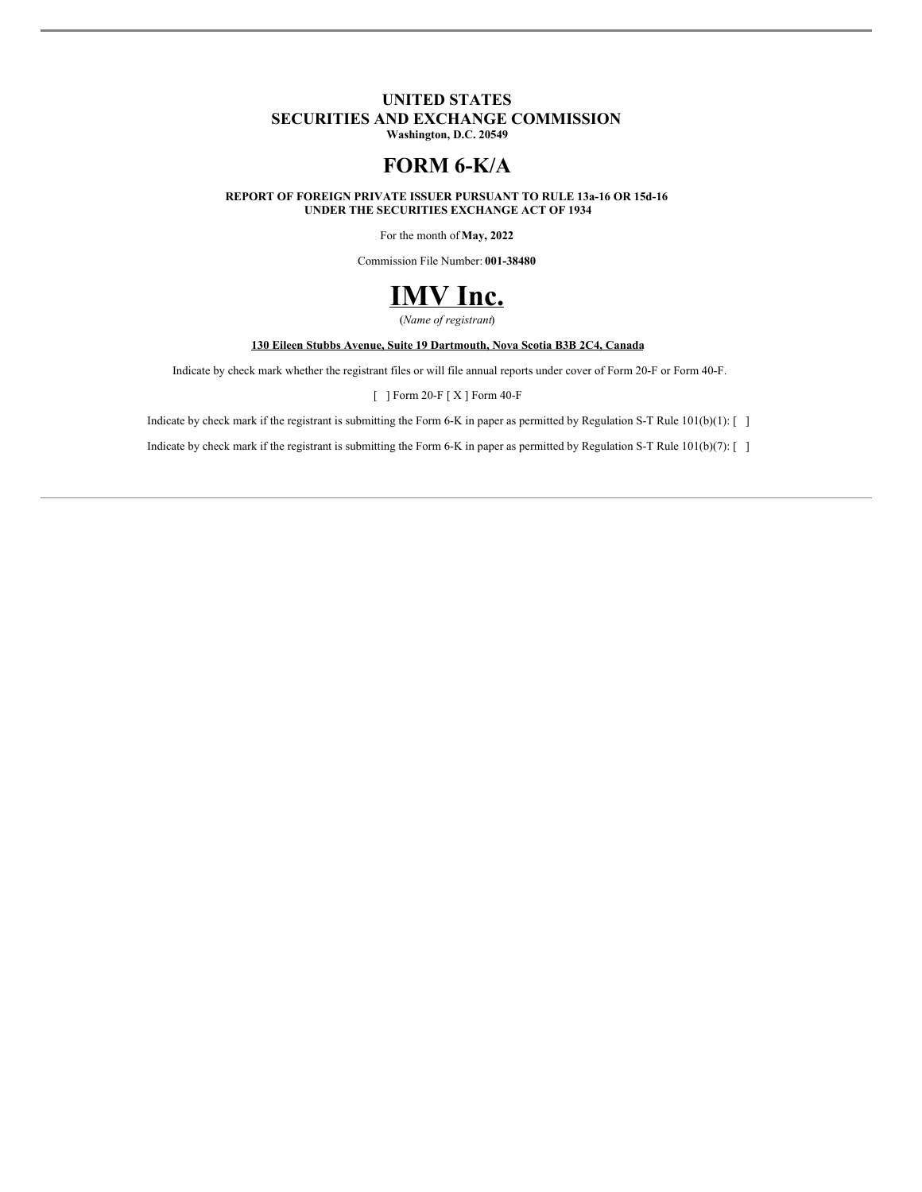## **UNITED STATES SECURITIES AND EXCHANGE COMMISSION**

**Washington, D.C. 20549**

# **FORM 6-K/A**

**REPORT OF FOREIGN PRIVATE ISSUER PURSUANT TO RULE 13a-16 OR 15d-16 UNDER THE SECURITIES EXCHANGE ACT OF 1934**

For the month of **May, 2022**

Commission File Number: **001-38480**



(*Name of registrant*)

#### **130 Eileen Stubbs Avenue, Suite 19 Dartmouth, Nova Scotia B3B 2C4, Canada**

Indicate by check mark whether the registrant files or will file annual reports under cover of Form 20-F or Form 40-F.

[ ] Form 20-F [ X ] Form 40-F

Indicate by check mark if the registrant is submitting the Form 6-K in paper as permitted by Regulation S-T Rule 101(b)(1): [ ]

Indicate by check mark if the registrant is submitting the Form 6-K in paper as permitted by Regulation S-T Rule 101(b)(7): [ ]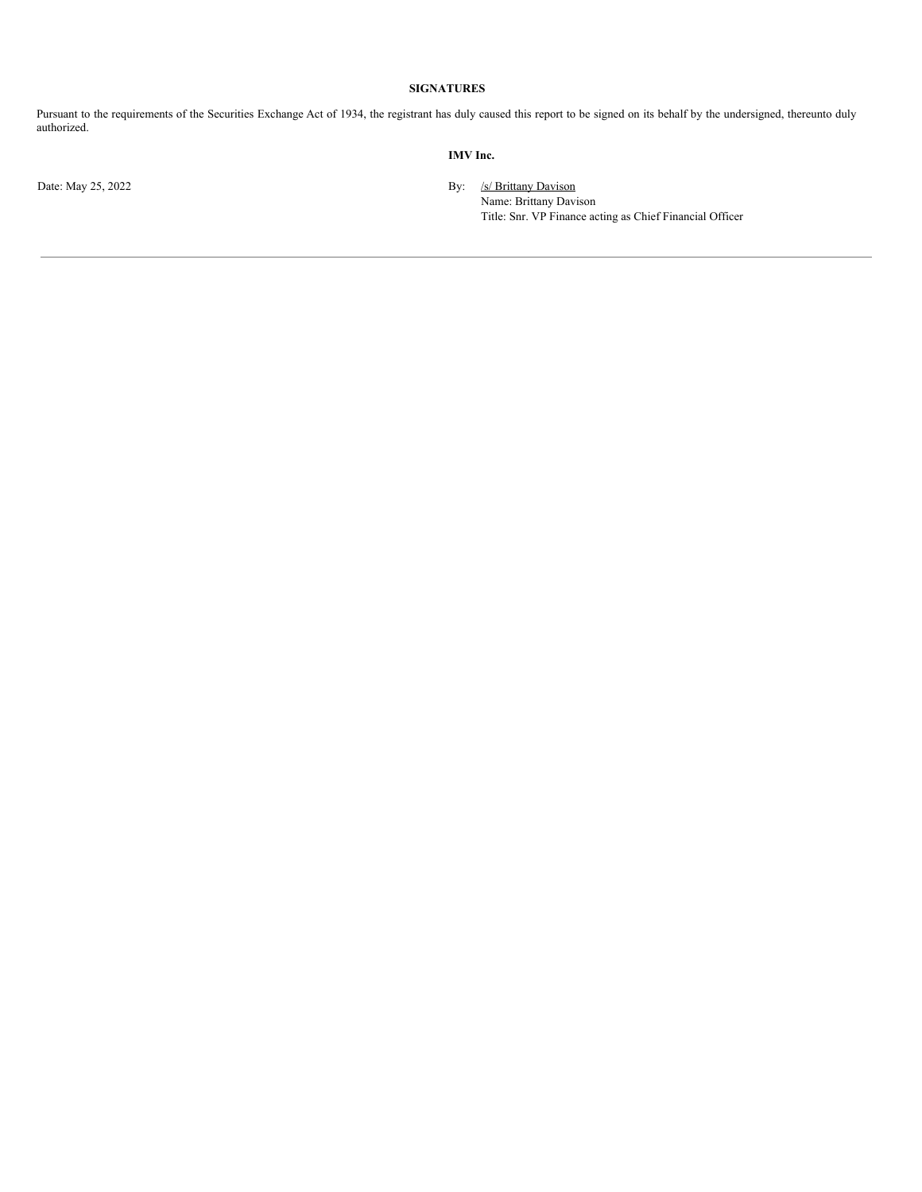#### **SIGNATURES**

Pursuant to the requirements of the Securities Exchange Act of 1934, the registrant has duly caused this report to be signed on its behalf by the undersigned, thereunto duly authorized.

#### **IMV Inc.**

Date: May 25, 2022 By: /s/ Brittany Davison Name: Brittany Davison Title: Snr. VP Finance acting as Chief Financial Officer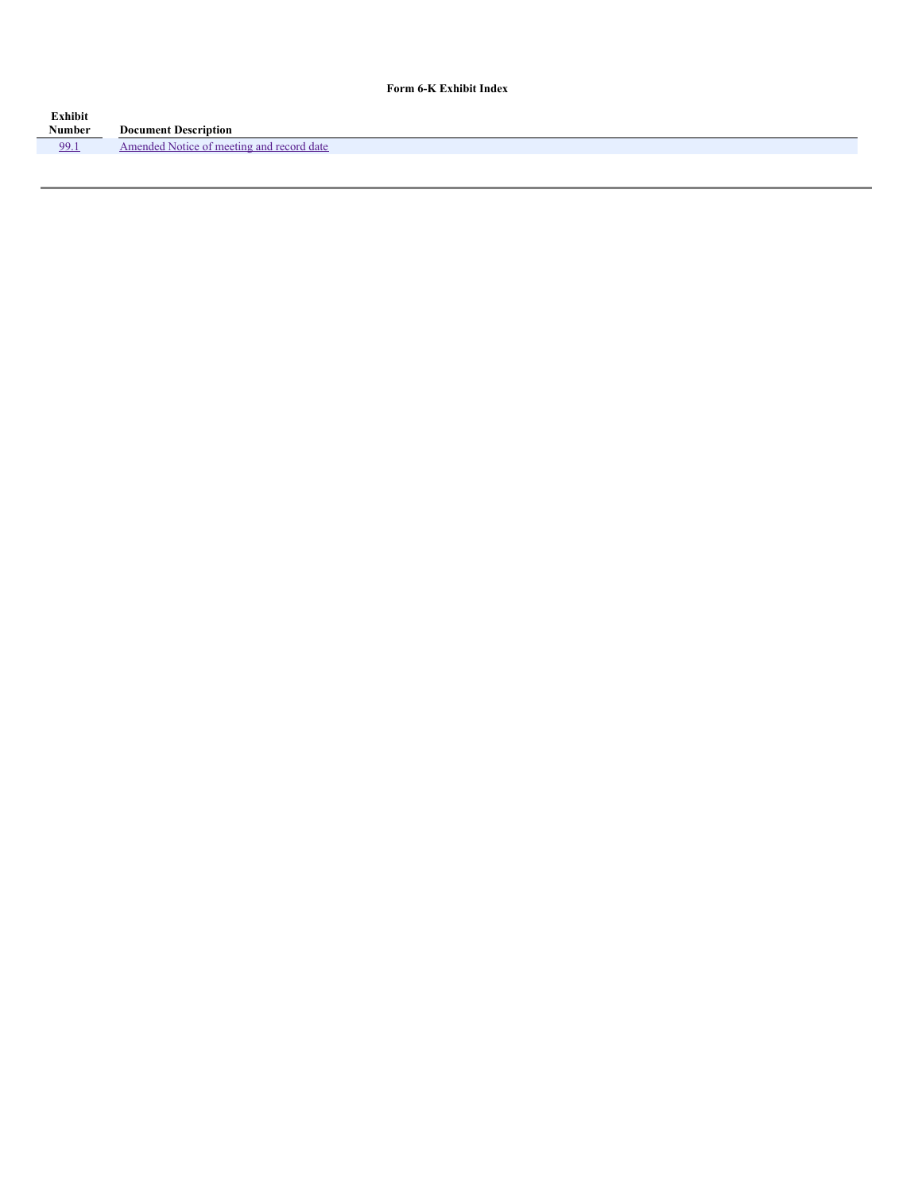#### **Form 6-K Exhibit Index**

| <b>Exhibit</b> |                                                          |
|----------------|----------------------------------------------------------|
| Number         | <b>Document Description</b>                              |
| 99.1           | record date<br>$N$ $\alpha$ ti<br>Amended<br>meeting and |